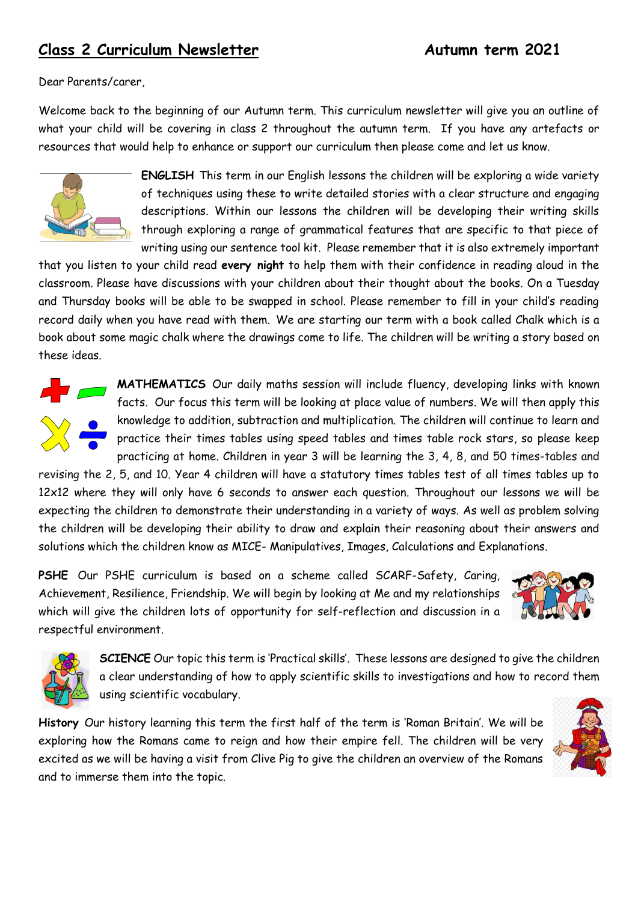# **Class 2 Curriculum Newsletter Autumn term 2021**

Dear Parents/carer,

Welcome back to the beginning of our Autumn term. This curriculum newsletter will give you an outline of what your child will be covering in class 2 throughout the autumn term. If you have any artefacts or resources that would help to enhance or support our curriculum then please come and let us know.



**ENGLISH** This term in our English lessons the children will be exploring a wide variety of techniques using these to write detailed stories with a clear structure and engaging descriptions. Within our lessons the children will be developing their writing skills through exploring a range of grammatical features that are specific to that piece of writing using our sentence tool kit. Please remember that it is also extremely important

that you listen to your child read **every night** to help them with their confidence in reading aloud in the classroom. Please have discussions with your children about their thought about the books. On a Tuesday and Thursday books will be able to be swapped in school. Please remember to fill in your child's reading record daily when you have read with them. We are starting our term with a book called Chalk which is a book about some magic chalk where the drawings come to life. The children will be writing a story based on these ideas.



**MATHEMATICS** Our daily maths session will include fluency, developing links with known facts. Our focus this term will be looking at place value of numbers. We will then apply this knowledge to addition, subtraction and multiplication. The children will continue to learn and practice their times tables using speed tables and times table rock stars, so please keep practicing at home. Children in year 3 will be learning the 3, 4, 8, and 50 times-tables and

revising the 2, 5, and 10. Year 4 children will have a statutory times tables test of all times tables up to 12x12 where they will only have 6 seconds to answer each question. Throughout our lessons we will be expecting the children to demonstrate their understanding in a variety of ways. As well as problem solving the children will be developing their ability to draw and explain their reasoning about their answers and solutions which the children know as MICE- Manipulatives, Images, Calculations and Explanations.

**PSHE** Our PSHE curriculum is based on a scheme called SCARF-Safety, Caring, Achievement, Resilience, Friendship. We will begin by looking at Me and my relationships which will give the children lots of opportunity for self-reflection and discussion in a respectful environment.





**SCIENCE** Our topic this term is 'Practical skills'. These lessons are designed to give the children a clear understanding of how to apply scientific skills to investigations and how to record them using scientific vocabulary.

**History** Our history learning this term the first half of the term is 'Roman Britain'. We will be exploring how the Romans came to reign and how their empire fell. The children will be very excited as we will be having a visit from Clive Pig to give the children an overview of the Romans and to immerse them into the topic.